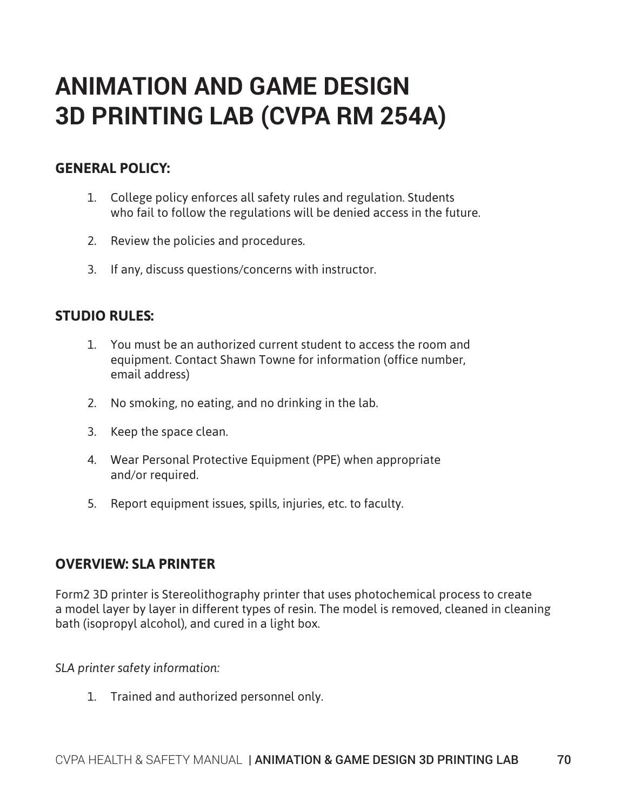## **ANIMATION AND GAME DESIGN 3D PRINTING LAB (CVPA RM 254A)**

## **GENERAL POLICY:**

- 1. College policy enforces all safety rules and regulation. Students who fail to follow the regulations will be denied access in the future.
- 2. Review the policies and procedures.
- 3. If any, discuss questions/concerns with instructor.

## **STUDIO RULES:**

- 1. You must be an authorized current student to access the room and equipment. Contact Shawn Towne for information (office number, email address)
- 2. No smoking, no eating, and no drinking in the lab.
- 3. Keep the space clean.
- 4. Wear Personal Protective Equipment (PPE) when appropriate and/or required.
- 5. Report equipment issues, spills, injuries, etc. to faculty.

## **OVERVIEW: SLA PRINTER**

Form2 3D printer is Stereolithography printer that uses photochemical process to create a model layer by layer in different types of resin. The model is removed, cleaned in cleaning bath (isopropyl alcohol), and cured in a light box.

*SLA printer safety information:*

1. Trained and authorized personnel only.